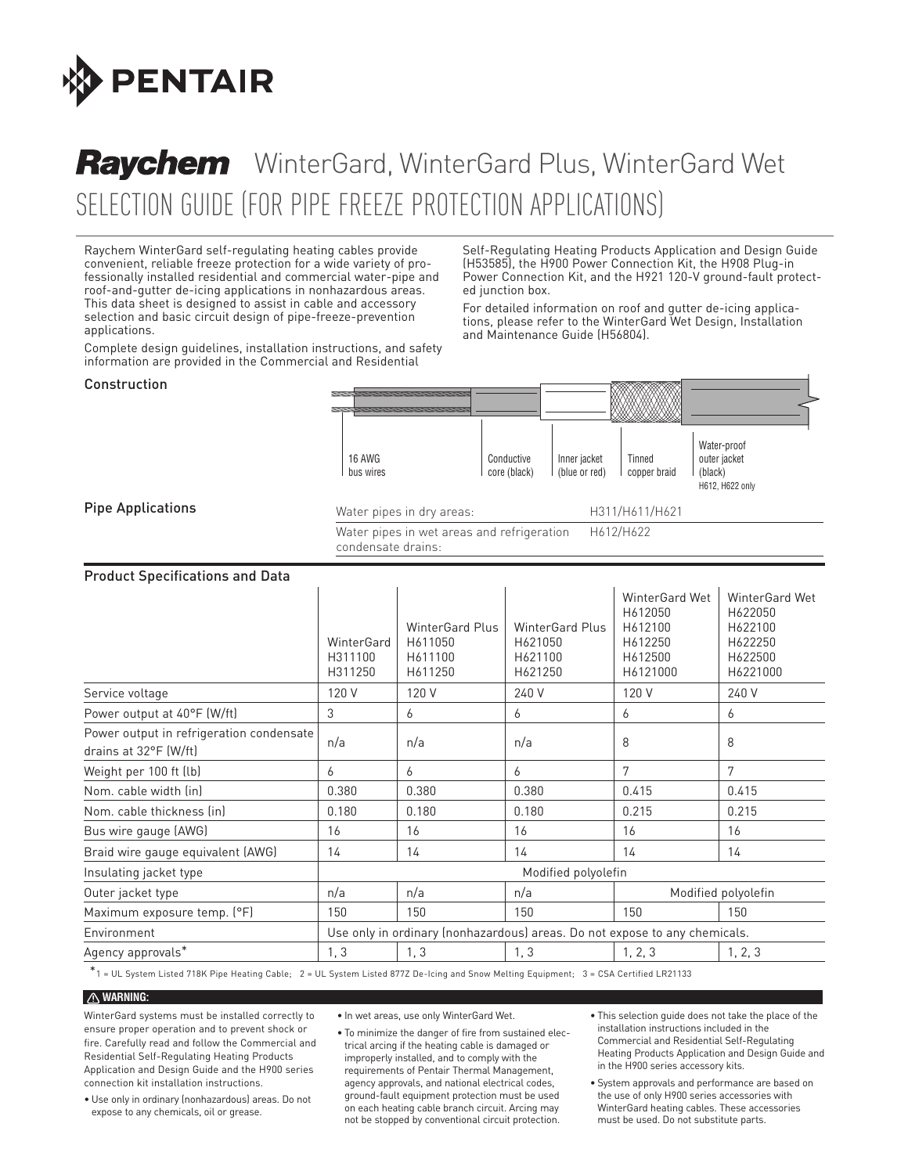

# Selection Guide (for Pipe Freeze Protection Applications) Raychem WinterGard, WinterGard Plus, WinterGard Wet

Raychem WinterGard self-regulating heating cables provide convenient, reliable freeze protection for a wide variety of professionally installed residential and commercial water-pipe and roof-and-gutter de-icing applications in nonhazardous areas. This data sheet is designed to assist in cable and accessory selection and basic circuit design of pipe-freeze-prevention applications.

Complete design guidelines, installation instructions, and safety information are provided in the Commercial and Residential

Self-Regulating Heating Products Application and Design Guide (H53585), the H900 Power Connection Kit, the H908 Plug-in Power Connection Kit, and the H921 120-V ground-fault protected junction box.

For detailed information on roof and gutter de-icing applications, please refer to the WinterGard Wet Design, Installation and Maintenance Guide (H56804).

#### Construction

Pipe Applications

| <b>16 AWG</b><br>bus wires                                       | Conductive<br>core (black) | Inner jacket<br>(blue or red) | Tinned<br>copper braid | Water-proof<br>outer jacket<br>(black)<br>H612, H622 only |
|------------------------------------------------------------------|----------------------------|-------------------------------|------------------------|-----------------------------------------------------------|
| Water pipes in dry areas:                                        |                            |                               | H311/H611/H621         |                                                           |
| Water pipes in wet areas and refrigeration<br>condensate drains: |                            |                               | H612/H622              |                                                           |

#### Product Specifications and Data

|                                                                   | WinterGard<br>H311100<br>H311250         | <b>WinterGard Plus</b><br>H611050<br>H611100<br>H611250 | <b>WinterGard Plus</b><br>H621050<br>H621100<br>H621250                    | WinterGard Wet<br>H612050<br>H612100<br>H612250<br>H612500<br>H6121000 | <b>WinterGard Wet</b><br>H622050<br>H622100<br>H622250<br>H622500<br>H6221000 |  |
|-------------------------------------------------------------------|------------------------------------------|---------------------------------------------------------|----------------------------------------------------------------------------|------------------------------------------------------------------------|-------------------------------------------------------------------------------|--|
| Service voltage                                                   | 120 V                                    | 120 V                                                   | 240 V                                                                      | 120 V                                                                  | 240 V                                                                         |  |
| Power output at 40°F (W/ft)                                       | 3                                        | 6                                                       | 6                                                                          | 6                                                                      | 6                                                                             |  |
| Power output in refrigeration condensate<br>drains at 32°F (W/ft) | n/a                                      | n/a                                                     | n/a                                                                        | 8                                                                      | 8                                                                             |  |
| Weight per 100 ft (lb)                                            | 6                                        | 6                                                       | 6                                                                          | 7                                                                      | 7                                                                             |  |
| Nom. cable width (in)                                             | 0.380                                    | 0.380                                                   | 0.380                                                                      | 0.415                                                                  | 0.415                                                                         |  |
| Nom. cable thickness (in)                                         | 0.180                                    | 0.180                                                   | 0.180                                                                      | 0.215                                                                  | 0.215                                                                         |  |
| Bus wire gauge (AWG)                                              | 16                                       | 16                                                      | 16                                                                         | 16                                                                     | 16                                                                            |  |
| Braid wire gauge equivalent (AWG)                                 | 14                                       | 14                                                      | 14                                                                         | 14                                                                     | 14                                                                            |  |
| Insulating jacket type                                            | Modified polyolefin                      |                                                         |                                                                            |                                                                        |                                                                               |  |
| Outer jacket type                                                 | n/a<br>n/a<br>n/a<br>Modified polyolefin |                                                         |                                                                            |                                                                        |                                                                               |  |
| Maximum exposure temp. (°F)                                       | 150                                      | 150                                                     | 150                                                                        | 150                                                                    | 150                                                                           |  |
| Environment                                                       |                                          |                                                         | Use only in ordinary (nonhazardous) areas. Do not expose to any chemicals. |                                                                        |                                                                               |  |
| Agency approvals*                                                 | 1, 3                                     | 1, 3                                                    | 1, 3                                                                       | 1, 2, 3                                                                | 1, 2, 3                                                                       |  |

\*1 = UL System Listed 718K Pipe Heating Cable; 2 = UL System Listed 877Z De-Icing and Snow Melting Equipment; 3 = CSA Certified LR21133

#### *A* WARNING:

WinterGard systems must be installed correctly to ensure proper operation and to prevent shock or fire. Carefully read and follow the Commercial and Residential Self-Regulating Heating Products Application and Design Guide and the H900 series connection kit installation instructions.

• Use only in ordinary (nonhazardous) areas. Do not expose to any chemicals, oil or grease.

• In wet areas, use only WinterGard Wet.

• To minimize the danger of fire from sustained electrical arcing if the heating cable is damaged or improperly installed, and to comply with the requirements of Pentair Thermal Management, agency approvals, and national electrical codes, ground-fault equipment protection must be used on each heating cable branch circuit. Arcing may not be stopped by conventional circuit protection.

• This selection guide does not take the place of the installation instructions included in the Commercial and Residential Self-Regulating Heating Products Application and Design Guide and in the H900 series accessory kits.

• System approvals and performance are based on the use of only H900 series accessories with WinterGard heating cables. These accessories must be used. Do not substitute parts.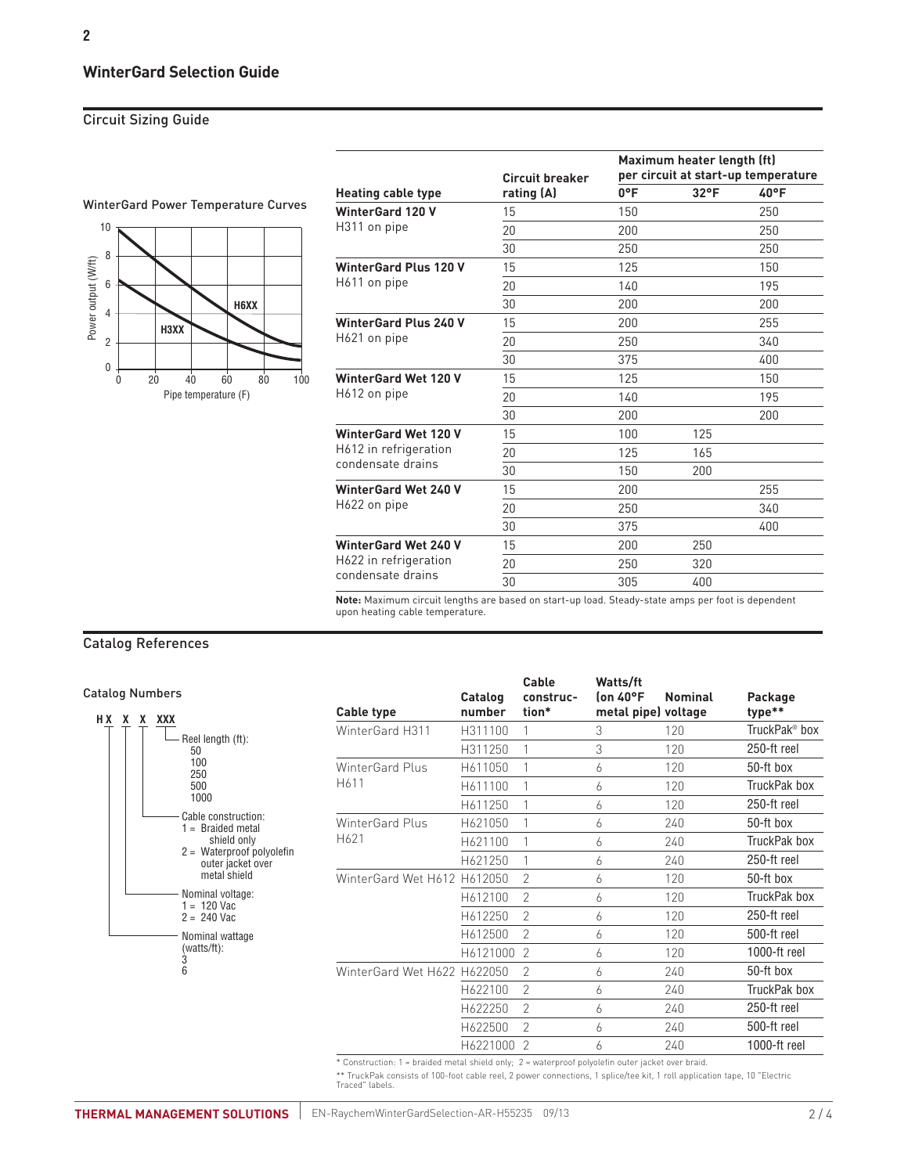# **WinterGard Selection Guide**

## Circuit Sizing Guide



|                              |                               | Maximum heater length (ft)<br>per circuit at start-up temperature |               |      |  |  |
|------------------------------|-------------------------------|-------------------------------------------------------------------|---------------|------|--|--|
| <b>Heating cable type</b>    | Circuit breaker<br>rating (A) | $0^{\circ}$ F                                                     | $32^{\circ}F$ | 40°F |  |  |
| <b>WinterGard 120 V</b>      | 15                            | 150                                                               |               | 250  |  |  |
| H311 on pipe                 | 20                            | 200                                                               |               | 250  |  |  |
|                              | 30                            | 250                                                               |               | 250  |  |  |
| <b>WinterGard Plus 120 V</b> | 15                            | 125                                                               |               | 150  |  |  |
| H611 on pipe                 | 20                            | 140                                                               |               | 195  |  |  |
|                              | 30                            | 200                                                               |               | 200  |  |  |
| <b>WinterGard Plus 240 V</b> | 15                            | 200                                                               |               | 255  |  |  |
| H621 on pipe                 | 20                            | 250                                                               |               | 340  |  |  |
|                              | 30                            | 375                                                               |               | 400  |  |  |
| <b>WinterGard Wet 120 V</b>  | 15                            | 125                                                               |               | 150  |  |  |
| H612 on pipe                 | 20                            | 140                                                               |               | 195  |  |  |
|                              | 30                            | 200                                                               |               | 200  |  |  |
| <b>WinterGard Wet 120 V</b>  | 15                            | 100                                                               | 125           |      |  |  |
| H612 in refrigeration        | 20                            | 125                                                               | 165           |      |  |  |
| condensate drains            | 30                            | 150                                                               | 200           |      |  |  |
| <b>WinterGard Wet 240 V</b>  | 15                            | 200                                                               |               | 255  |  |  |
| H622 on pipe                 | 20                            | 250                                                               |               | 340  |  |  |
|                              | 30                            | 375                                                               |               | 400  |  |  |
| <b>WinterGard Wet 240 V</b>  | 15                            | 200                                                               | 250           |      |  |  |
| H622 in refrigeration        | 20                            | 250                                                               | 320           |      |  |  |
| condensate drains            | 30                            | 305                                                               | 400           |      |  |  |

**Note:** Maximum circuit lengths are based on start-up load. Steady-state amps per foot is dependent upon heating cable temperature.

## Catalog References

Catalog Numbers



|                             |          | Cable          | Watts/ft            |                |                           |
|-----------------------------|----------|----------------|---------------------|----------------|---------------------------|
|                             | Catalog  | construc-      | (on 40°F            | <b>Nominal</b> | Package                   |
| Cable type                  | number   | tion*          | metal pipe) voltage |                | type**                    |
| WinterGard H311             | H311100  | 1              | 3                   | 120            | TruckPak <sup>®</sup> box |
|                             | H311250  | 1              | 3                   | 120            | 250-ft reel               |
| WinterGard Plus             | H611050  | 1              | 6                   | 120            | 50-ft box                 |
| H611                        | H611100  | 1              | 6                   | 120            | TruckPak box              |
|                             | H611250  | 1              | 6                   | 120            | 250-ft reel               |
| WinterGard Plus             | H621050  | 1              | 6                   | 240            | 50-ft box                 |
| H621                        | H621100  | 1              | 6                   | 240            | TruckPak box              |
|                             | H621250  | 1              | 6                   | 240            | 250-ft reel               |
| WinterGard Wet H612 H612050 |          | $\mathcal{P}$  | 6                   | 120            | 50-ft box                 |
|                             | H612100  | $\mathcal{P}$  | 6                   | 120            | TruckPak box              |
|                             | H612250  | $\mathfrak{D}$ | 6                   | 120            | 250-ft reel               |
|                             | H612500  | $\mathcal{P}$  | 6                   | 120            | 500-ft reel               |
|                             | H6121000 | $\mathfrak{D}$ | 6                   | 120            | 1000-ft reel              |
| WinterGard Wet H622 H622050 |          | $\mathfrak{D}$ | 6                   | 240            | 50-ft box                 |
|                             | H622100  | $\mathcal{P}$  | 6                   | 240            | TruckPak box              |
|                             | H622250  | $\mathfrak{D}$ | 6                   | 240            | 250-ft reel               |
|                             | H622500  | $\mathcal{P}$  | 6                   | 240            | 500-ft reel               |
|                             | H6221000 | $\mathcal{P}$  | 6                   | 240            | 1000-ft reel              |
|                             |          |                |                     |                |                           |

\* Construction: 1 = braided metal shield only; 2 = waterproof polyolefin outer jacket over braid.

\*\* TruckPak consists of 100-foot cable reel, 2 power connections, 1 splice/tee kit, 1 roll application tape, 10 "Electric Traced" labels.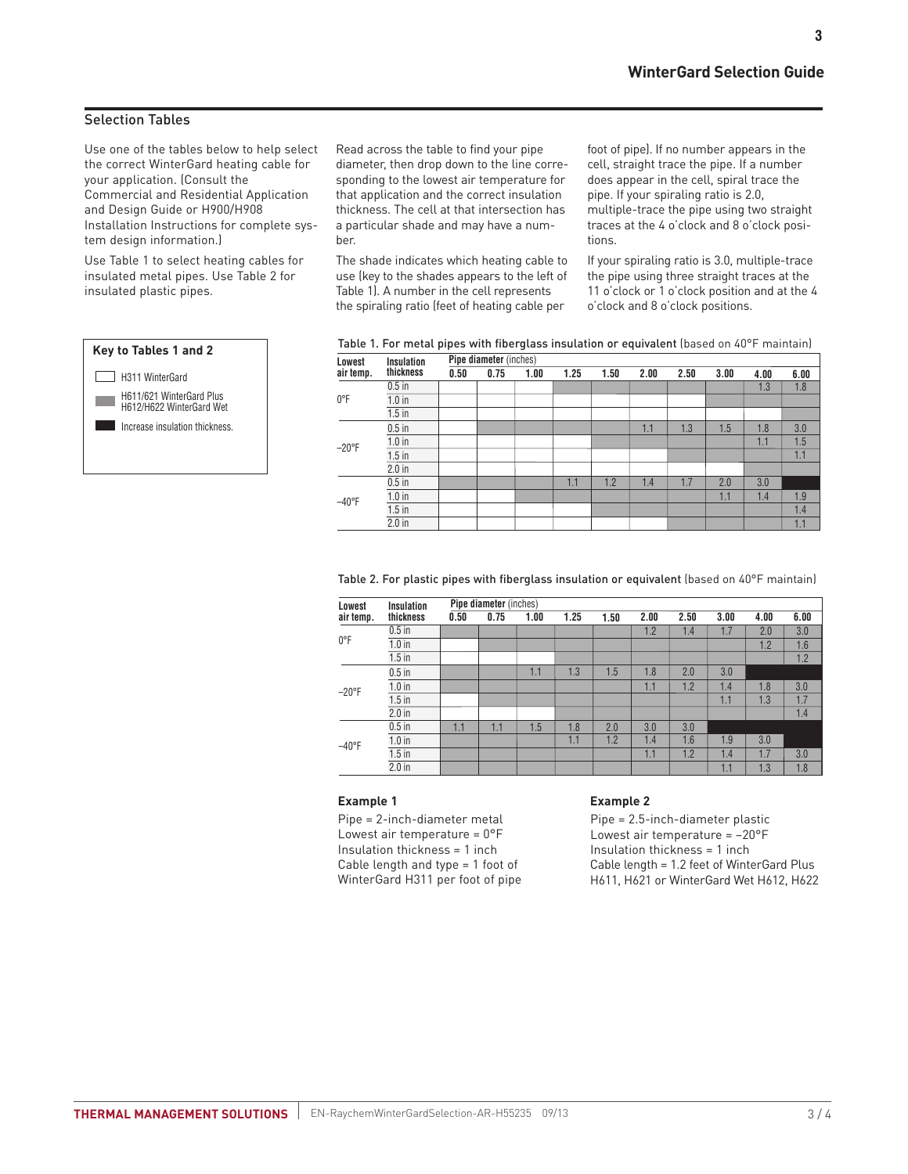# Selection Tables

Use one of the tables below to help select the correct WinterGard heating cable for your application. (Consult the Commercial and Residential Application and Design Guide or H900/H908 Installation Instructions for complete system design information.)

Use Table 1 to select heating cables for insulated metal pipes. Use Table 2 for insulated plastic pipes.



Read across the table to find your pipe diameter, then drop down to the line corresponding to the lowest air temperature for that application and the correct insulation thickness. The cell at that intersection has a particular shade and may have a number.

The shade indicates which heating cable to use (key to the shades appears to the left of Table 1). A number in the cell represents the spiraling ratio (feet of heating cable per

foot of pipe). If no number appears in the cell, straight trace the pipe. If a number does appear in the cell, spiral trace the pipe. If your spiraling ratio is 2.0, multiple-trace the pipe using two straight traces at the 4 o'clock and 8 o'clock positions.

If your spiraling ratio is 3.0, multiple-trace the pipe using three straight traces at the 11 o'clock or 1 o'clock position and at the 4 o'clock and 8 o'clock positions.

| able 1. For metal pipes with fiberglass insulation or equivalent (based on 40°F maintain) |
|-------------------------------------------------------------------------------------------|
|-------------------------------------------------------------------------------------------|

| Lowest    | <b>Insulation</b> | <b>Pipe diameter</b> (inches) |      |      |      |      |      |      |      |      |      |
|-----------|-------------------|-------------------------------|------|------|------|------|------|------|------|------|------|
| air temp. | thickness         | 0.50                          | 0.75 | 1.00 | 1.25 | 1.50 | 2.00 | 2.50 | 3.00 | 4.00 | 6.00 |
|           | $0.5$ in          |                               |      |      |      |      |      |      |      | 1.3  | 1.8  |
| 0°F       | $1.0$ in          |                               |      |      |      |      |      |      |      |      |      |
|           | $1.5$ in          |                               |      |      |      |      |      |      |      |      |      |
| $-20$ °F  | $0.5$ in          |                               |      |      |      |      | 1.1  | 1.3  | 1.5  | 1.8  | 3.0  |
|           | $1.0$ in          |                               |      |      |      |      |      |      |      | 1.1  | 1.5  |
|           | $1.5$ in          |                               |      |      |      |      |      |      |      |      | 1.1  |
|           | $2.0$ in          |                               |      |      |      |      |      |      |      |      |      |
|           | $0.5$ in          |                               |      |      | 1.1  | 1.2  | 1.4  | 1.7  | 2.0  | 3.0  |      |
| $-40$ °F  | $1.0$ in          |                               |      |      |      |      |      |      | 1.1  | 1.4  | 1.9  |
|           | $1.5$ in          |                               |      |      |      |      |      |      |      |      | 1.4  |
|           | $2.0$ in          |                               |      |      |      |      |      |      |      |      | 1.1  |

Table 2. For plastic pipes with fiberglass insulation or equivalent (based on 40°F maintain)

| Lowest          | <b>Insulation</b> |      | <b>Pipe diameter</b> (inches) |      |      |      |      |      |      |      |      |
|-----------------|-------------------|------|-------------------------------|------|------|------|------|------|------|------|------|
| air temp.       | thickness         | 0.50 | 0.75                          | 1.00 | 1.25 | 1.50 | 2.00 | 2.50 | 3.00 | 4.00 | 6.00 |
|                 | $0.5$ in          |      |                               |      |      |      | 1.2  | 1.4  | 1.7  | 2.0  | 3.0  |
| 0°F             | $1.0$ in          |      |                               |      |      |      |      |      |      | 1.2  | 1.6  |
|                 | $1.5$ in          |      |                               |      |      |      |      |      |      |      | 1.2  |
|                 | $0.5$ in          |      |                               | 1.1  | 1.3  | 1.5  | 1.8  | 2.0  | 3.0  |      |      |
| $-20^{\circ}$ F | $1.0$ in          |      |                               |      |      |      | 1.1  | 1.2  | 1.4  | 1.8  | 3.0  |
|                 | $1.5$ in          |      |                               |      |      |      |      |      | 1.1  | 1.3  | 1.7  |
|                 | $2.0$ in          |      |                               |      |      |      |      |      |      |      | 1.4  |
|                 | $0.5$ in          | 1.1  | 1.1                           | 1.5  | 1.8  | 2.0  | 3.0  | 3.0  |      |      |      |
| $-40^{\circ}$ F | $1.0$ in          |      |                               |      | 1.1  | 1.2  | 1.4  | 1.6  | 1.9  | 3.0  |      |
|                 | $1.5$ in          |      |                               |      |      |      | 1.1  | 1.2  | 1.4  | 1.7  | 3.0  |
|                 | $2.0$ in          |      |                               |      |      |      |      |      | 1.1  | 1.3  | 1.8  |

#### **Example 1**

Pipe = 2-inch-diameter metal Lowest air temperature = 0°F Insulation thickness = 1 inch Cable length and type = 1 foot of WinterGard H311 per foot of pipe

#### **Example 2**

Pipe = 2.5-inch-diameter plastic Lowest air temperature = –20°F Insulation thickness = 1 inch Cable length = 1.2 feet of WinterGard Plus H611, H621 or WinterGard Wet H612, H622